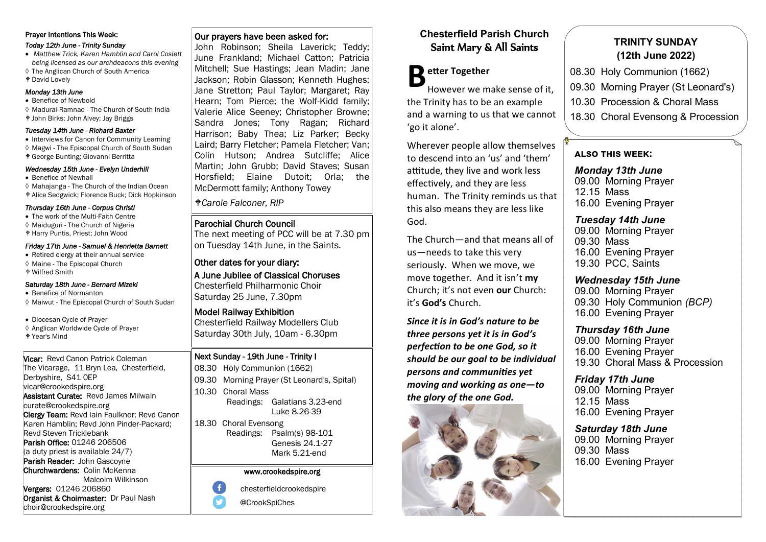# Prayer Intentions This Week:

#### *Today 12th June - Trinity Sunday*

- *Matthew Trick, Karen Hamblin and Carol Coslett being licensed as our archdeacons this evening*
- The Anglican Church of South America
- David Lovely

# *Monday 13th June*

- Benefice of Newbold
- Madurai-Ramnad The Church of South India John Birks; John Alvey; Jay Briggs

#### *Tuesday 14th June - Richard Baxter*

- Interviews for Canon for Community Learning
- Magwi The Episcopal Church of South Sudan
- George Bunting; Giovanni Berritta

#### *Wednesday 15th June - Evelyn Underhill*

- Benefice of Newhall
- $\Diamond$  Mahajanga The Church of the Indian Ocean
- Alice Sedgwick; Florence Buck; Dick Hopkinson

#### *Thursday 16th June - Corpus Christi*  • The work of the Multi-Faith Centre

- 
- Maiduguri The Church of Nigeria Harry Puntis, Priest; John Wood

#### *Friday 17th June - Samuel & Henrietta Barnett*

- Retired clergy at their annual service
- Maine The Episcopal Church
- Wilfred Smith

#### *Saturday 18th June - Bernard Mizeki*

- Benefice of Normanton
- Maiwut The Episcopal Church of South Sudan
- Diocesan Cycle of Prayer
- ♦ Anglican Worldwide Cycle of Prayer
- Year's Mind

#### Vicar: Revd Canon Patrick Coleman The Vicarage, 11 Bryn Lea, Chesterfield, Derbyshire, S41 0EP vicar@crookedspire.org Assistant Curate: Revd James Milwain curate@crookedspire.org Clergy Team: Revd Iain Faulkner; Revd Canon Karen Hamblin; Revd John Pinder-Packard; Revd Steven Tricklebank Parish Office: 01246 206506 (a duty priest is available 24/7) Parish Reader: John Gascovne Churchwardens: Colin McKenna Malcolm Wilkinson Vergers: 01246 206860 Organist & Choirmaster: Dr Paul Nash choir@crookedspire.org

## Our prayers have been asked for:

John Robinson; Sheila Laverick; Teddy; June Frankland; Michael Catton; Patricia Mitchell; Sue Hastings; Jean Madin; Jane Jackson; Robin Glasson; Kenneth Hughes; Jane Stretton; Paul Taylor; Margaret; Ray Hearn; Tom Pierce; the Wolf-Kidd family; Valerie Alice Seeney; Christopher Browne; Sandra Jones; Tony Ragan; Richard Harrison; Baby Thea; Liz Parker; Becky Laird; Barry Fletcher; Pamela Fletcher; Van; Colin Hutson; Andrea Sutcliffe; Alice Martin; John Grubb; David Staves; Susan Horsfield; Elaine Dutoit; Orla; the McDermott family; Anthony Towey

## *Carole Falconer, RIP*

# Parochial Church Council

The next meeting of PCC will be at 7.30 pm on Tuesday 14th June, in the Saints.

#### Other dates for your diary: A June Jubilee of Classical Choruses Chesterfield Philharmonic Choir

Saturday 25 June, 7.30pm

#### Model Railway Exhibition Chesterfield Railway Modellers Club Saturday 30th July, 10am - 6.30pm

## Next Sunday - 19th June - Trinity I

08.30 Holy Communion (1662) 09.30 Morning Prayer (St Leonard's, Spital) 10.30 Choral Mass Readings: Galatians 3.23-end Luke 8.26-39

18.30 Choral Evensong Readings: Psalm(s) 98-101 Genesis 24.1-27 Mark 5.21-end

## www.crookedspire.org

 $\overline{f}$ chesterfieldcrookedspire



# **Chesterfield Parish Church** Saint Mary & All Saints

**B** etter Together<br>
However we m However we make sense of it, the Trinity has to be an example and a warning to us that we cannot 'go it alone'.

Wherever people allow themselves to descend into an 'us' and 'them' attitude, they live and work less effectively, and they are less human. The Trinity reminds us that this also means they are less like God.

The Church—and that means all of us—needs to take this very seriously. When we move, we move together. And it isn't **my**  Church; it's not even **our** Church: it's **God's** Church.

*Since it is in God's nature to be three persons yet it is in God's perfection to be one God, so it should be our goal to be individual persons and communities yet moving and working as one—to the glory of the one God.*



# **TRINITY SUNDAY (12th June 2022)**

- 08.30 Holy Communion (1662)
- 09.30 Morning Prayer (St Leonard's)
- 10.30 Procession & Choral Mass
- 18.30 Choral Evensong & Procession

## **also this week:**

*Monday 13th June* 09.00 Morning Prayer 12.15 Mass 16.00 Evening Prayer

## *Tuesday 14th June*

09.00 Morning Prayer 09.30 Mass 16.00 Evening Prayer 19.30 PCC, Saints

# *Wednesday 15th June*

09.00 Morning Prayer 09.30 Holy Communion *(BCP)* 16.00 Evening Prayer

# *Thursday 16th June*

09.00 Morning Prayer 16.00 Evening Prayer 19.30 Choral Mass & Procession

*Friday 17th June* 09.00 Morning Prayer 12.15 Mass 16.00 Evening Prayer

*Saturday 18th June* 09.00 Morning Prayer 09.30 Mass 16.00 Evening Prayer